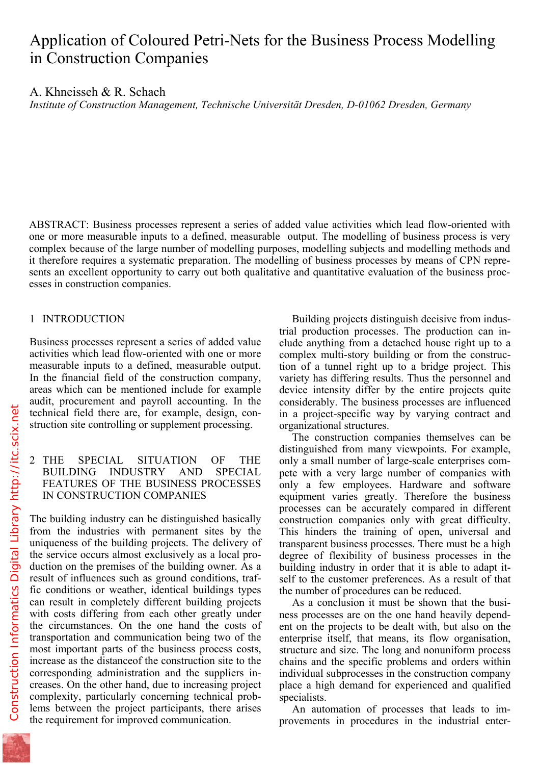# Application of Coloured Petri-Nets for the Business  $\omega$ in Construction Companies

A. Khneisseh & R. Schach

*Institute of Construction Management, Technische Universität Dresden, D-01062 Dresden, Germany* 

ABSTRACT: Business processes represent a series of added value activities which lead flow-oriented with one or more measurable inputs to a defined, measurable output. The modelling of business process is very complex because of the large number of modelling purposes, modelling subjects and modelling methods and it therefore requires a systematic preparation. The modelling of business processes by means of CPN represents an excellent opportunity to carry out both qualitative and quantitative evaluation of the business processes in construction companies.

### 1 INTRODUCTION

Business processes represent a series of added value activities which lead flow-oriented with one or more measurable inputs to a defined, measurable output. In the financial field of the construction company, areas which can be mentioned include for example audit, procurement and payroll accounting. In the technical field there are, for example, design, construction site controlling or supplement processing.

## 2 THE SPECIAL SITUATION OF THE BUILDING INDUSTRY AND SPECIAL FEATURES OF THE BUSINESS PROCESSES IN CONSTRUCTION COMPANIES

The building industry can be distinguished basically from the industries with permanent sites by the uniqueness of the building projects. The delivery of the service occurs almost exclusively as a local production on the premises of the building owner. As a result of influences such as ground conditions, traffic conditions or weather, identical buildings types can result in completely different building projects with costs differing from each other greatly under the circumstances. On the one hand the costs of transportation and communication being two of the most important parts of the business process costs, increase as the distanceof the construction site to the corresponding administration and the suppliers increases. On the other hand, due to increasing project complexity, particularly concerning technical problems between the project participants, there arises the requirement for improved communication.

Building projects distinguish decisive from industrial production processes. The production can include anything from a detached house right up to a complex multi-story building or from the construction of a tunnel right up to a bridge project. This variety has differing results. Thus the personnel and device intensity differ by the entire projects quite considerably. The business processes are influenced in a project-specific way by varying contract and organizational structures.

The construction companies themselves can be distinguished from many viewpoints. For example, only a small number of large-scale enterprises compete with a very large number of companies with only a few employees. Hardware and software equipment varies greatly. Therefore the business processes can be accurately compared in different construction companies only with great difficulty. This hinders the training of open, universal and transparent business processes. There must be a high degree of flexibility of business processes in the building industry in order that it is able to adapt itself to the customer preferences. As a result of that the number of procedures can be reduced.

As a conclusion it must be shown that the business processes are on the one hand heavily dependent on the projects to be dealt with, but also on the enterprise itself, that means, its flow organisation, structure and size. The long and nonuniform process chains and the specific problems and orders within individual subprocesses in the construction company place a high demand for experienced and qualified specialists.

An automation of processes that leads to improvements in procedures in the industrial enter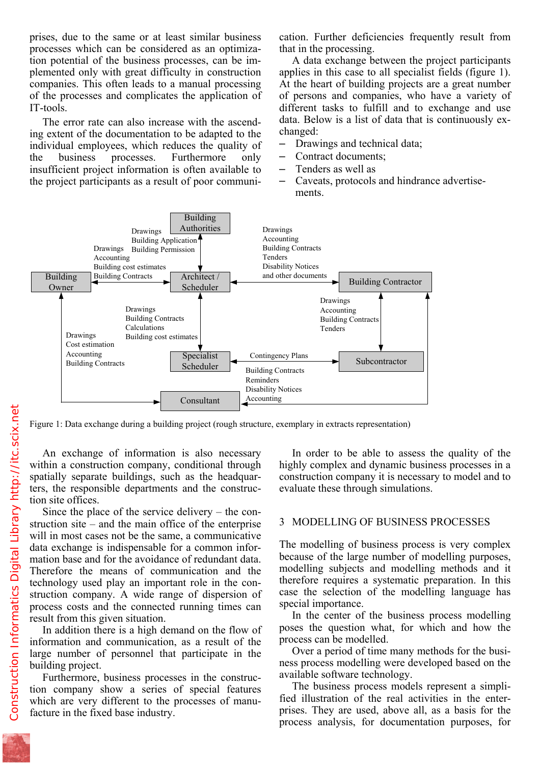processes which can be considered as an optimization potential of the business processes, can be implemented only with great difficulty in construction companies. This often leads to a manual processing of the processes and complicates the application of IT-tools.

The error rate can also increase with the ascending extent of the documentation to be adapted to the individual employees, which reduces the quality of the business processes. Furthermore only insufficient project information is often available to the project participants as a result of poor communithat in the processing.

A data exchange between the project participants applies in this case to all specialist fields (figure 1). At the heart of building projects are a great number of persons and companies, who have a variety of different tasks to fulfill and to exchange and use data. Below is a list of data that is continuously exchanged:

- Drawings and technical data;
- Contract documents;
- Tenders as well as
- Caveats, protocols and hindrance advertisements.



Figure 1: Data exchange during a building project (rough structure, exemplary in extracts representation)

An exchange of information is also necessary within a construction company, conditional through spatially separate buildings, such as the headquarters, the responsible departments and the construction site offices.

Since the place of the service delivery – the construction site – and the main office of the enterprise will in most cases not be the same, a communicative data exchange is indispensable for a common information base and for the avoidance of redundant data. Therefore the means of communication and the technology used play an important role in the construction company. A wide range of dispersion of process costs and the connected running times can result from this given situation.

In addition there is a high demand on the flow of information and communication, as a result of the large number of personnel that participate in the building project.

Furthermore, business processes in the construction company show a series of special features which are very different to the processes of manufacture in the fixed base industry.

In order to be able to assess the quality of the highly complex and dynamic business processes in a construction company it is necessary to model and to evaluate these through simulations.

### 3 MODELLING OF BUSINESS PROCESSES

The modelling of business process is very complex because of the large number of modelling purposes, modelling subjects and modelling methods and it therefore requires a systematic preparation. In this case the selection of the modelling language has special importance.

In the center of the business process modelling poses the question what, for which and how the process can be modelled.

Over a period of time many methods for the business process modelling were developed based on the available software technology.

The business process models represent a simplified illustration of the real activities in the enterprises. They are used, above all, as a basis for the process analysis, for documentation purposes, for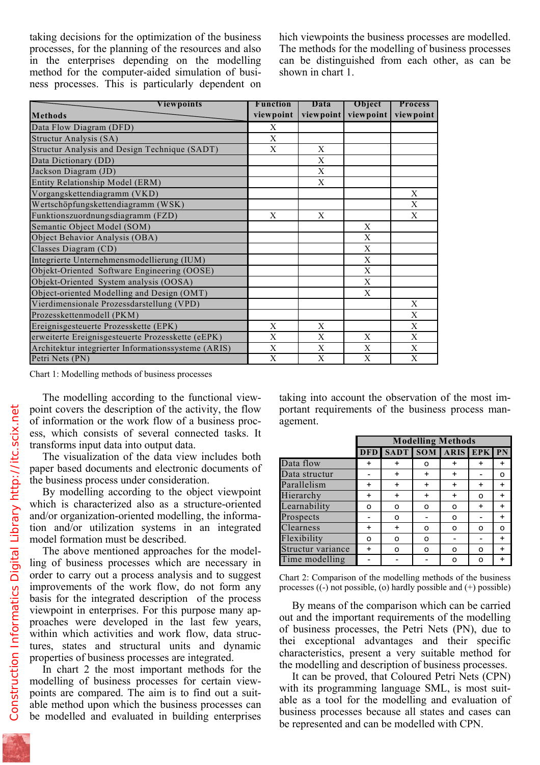processes, for the planning of the resources and also in the enterprises depending on the modelling method for the computer-aided simulation of business processes. This is particularly dependent on

The methods for the modelling of business processes can be distinguished from each other, as can be shown in chart 1.

| <b>Viewpoints</b>                                   | Function                  | Data                      | Object                    | <b>Process</b> |
|-----------------------------------------------------|---------------------------|---------------------------|---------------------------|----------------|
| <b>Methods</b>                                      | viewpoint                 | viewpoint                 | viewpoint                 | viewpoint      |
| Data Flow Diagram (DFD)                             | X                         |                           |                           |                |
| Structur Analysis (SA)                              | X                         |                           |                           |                |
| Structur Analysis and Design Technique (SADT)       | X                         | X                         |                           |                |
| Data Dictionary (DD)                                |                           | X                         |                           |                |
| Jackson Diagram (JD)                                |                           | X                         |                           |                |
| Entity Relationship Model (ERM)                     |                           | X                         |                           |                |
| Vorgangskettendiagramm (VKD)                        |                           |                           |                           | X              |
| Wertschöpfungskettendiagramm (WSK)                  |                           |                           |                           | X              |
| Funktionszuordnungsdiagramm (FZD)                   | X                         | X                         |                           | X              |
| Semantic Object Model (SOM)                         |                           |                           | X                         |                |
| Object Behavior Analysis (OBA)                      |                           |                           | X                         |                |
| Classes Diagram (CD)                                |                           |                           | X                         |                |
| Integrierte Unternehmensmodellierung (IUM)          |                           |                           | X                         |                |
| Objekt-Oriented Software Engineering (OOSE)         |                           |                           | X                         |                |
| Objekt-Oriented System analysis (OOSA)              |                           |                           | X                         |                |
| Object-oriented Modelling and Design (OMT)          |                           |                           | X                         |                |
| Vierdimensionale Prozessdarstellung (VPD)           |                           |                           |                           | X              |
| Prozesskettenmodell (PKM)                           |                           |                           |                           | X              |
| Ereignisgesteuerte Prozesskette (EPK)               | X                         | X                         |                           | X              |
| erweiterte Ereignisgesteuerte Prozesskette (eEPK)   | X                         | X                         | X                         | X              |
| Architektur integrierter Informationssysteme (ARIS) | X                         | X                         | X                         | X              |
| Petri Nets (PN)                                     | $\boldsymbol{\mathrm{X}}$ | $\boldsymbol{\mathrm{X}}$ | $\boldsymbol{\mathrm{X}}$ | X              |

Chart 1: Modelling methods of business processes

The modelling according to the functional viewpoint covers the description of the activity, the flow of information or the work flow of a business process, which consists of several connected tasks. It transforms input data into output data.

The visualization of the data view includes both paper based documents and electronic documents of the business process under consideration.

By modelling according to the object viewpoint which is characterized also as a structure-oriented and/or organization-oriented modelling, the information and/or utilization systems in an integrated model formation must be described.

The above mentioned approaches for the modelling of business processes which are necessary in order to carry out a process analysis and to suggest improvements of the work flow, do not form any basis for the integrated description of the process viewpoint in enterprises. For this purpose many approaches were developed in the last few years, within which activities and work flow, data structures, states and structural units and dynamic properties of business processes are integrated.

In chart 2 the most important methods for the modelling of business processes for certain viewpoints are compared. The aim is to find out a suitable method upon which the business processes can be modelled and evaluated in building enterprises

taking into account the observation of the most important requirements of the business process management.

|                   | <b>Modelling Methods</b> |                                 |   |   |          |           |
|-------------------|--------------------------|---------------------------------|---|---|----------|-----------|
|                   |                          | <b>DFD SADT SOM ARIS EPK PN</b> |   |   |          |           |
| Data flow         | +                        | +                               | ο |   |          | ÷         |
| Data structur     |                          | +                               |   | ÷ |          | O         |
| Parallelism       |                          | +                               |   |   |          | $\ddot{}$ |
| Hierarchy         |                          | +                               |   |   | ი        | $\ddot{}$ |
| Learnability      | ο                        | o                               | O | o |          | $\ddot{}$ |
| Prospects         |                          | ο                               |   | O |          | $\ddot{}$ |
| Clearness         | +                        | +                               | O | O | $\Omega$ | o         |
| Flexibility       | ი                        | ი                               | ი |   |          | ÷         |
| Structur variance | +                        | o                               | o | O | ი        |           |
| Time modelling    |                          |                                 |   |   |          |           |

Chart 2: Comparison of the modelling methods of the business processes ((-) not possible, (o) hardly possible and (+) possible)

By means of the comparison which can be carried out and the important requirements of the modelling of business processes, the Petri Nets (PN), due to thei exceptional advantages and their specific characteristics, present a very suitable method for the modelling and description of business processes.

It can be proved, that Coloured Petri Nets (CPN) with its programming language SML, is most suitable as a tool for the modelling and evaluation of business processes because all states and cases can be represented and can be modelled with CPN.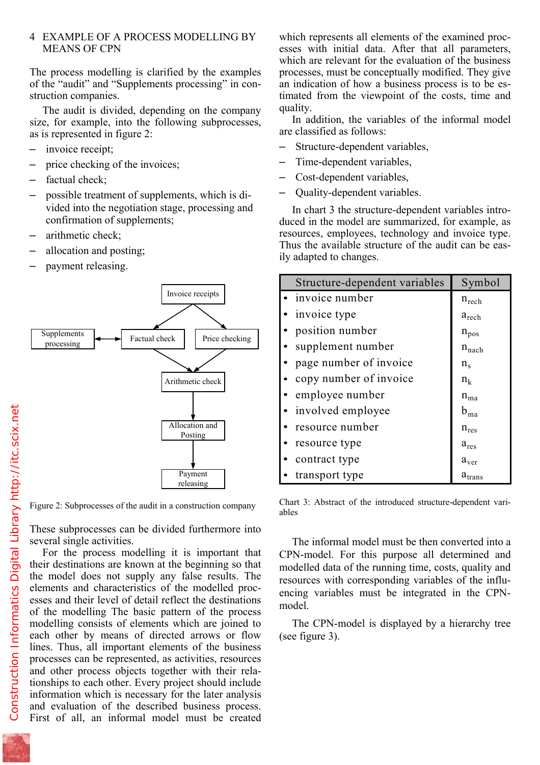#### MEANS OF CPN

The process modelling is clarified by the examples of the "audit" and "Supplements processing" in construction companies.

The audit is divided, depending on the company size, for example, into the following subprocesses, as is represented in figure 2:

- invoice receipt;
- price checking of the invoices;
- factual check;
- possible treatment of supplements, which is divided into the negotiation stage, processing and confirmation of supplements;
- arithmetic check;
- allocation and posting;
- payment releasing.



Figure 2: Subprocesses of the audit in a construction company

These subprocesses can be divided furthermore into several single activities.

For the process modelling it is important that their destinations are known at the beginning so that the model does not supply any false results. The elements and characteristics of the modelled processes and their level of detail reflect the destinations of the modelling The basic pattern of the process modelling consists of elements which are joined to each other by means of directed arrows or flow lines. Thus, all important elements of the business processes can be represented, as activities, resources and other process objects together with their relationships to each other. Every project should include information which is necessary for the later analysis and evaluation of the described business process. First of all, an informal model must be created esses with initial data. After that all parameters, which are relevant for the evaluation of the business processes, must be conceptually modified. They give an indication of how a business process is to be estimated from the viewpoint of the costs, time and quality.

In addition, the variables of the informal model are classified as follows:

- Structure-dependent variables,
- Time-dependent variables,
- Cost-dependent variables,
- Quality-dependent variables.

In chart 3 the structure-dependent variables introduced in the model are summarized, for example, as resources, employees, technology and invoice type. Thus the available structure of the audit can be easily adapted to changes.

| Structure-dependent variables | Symbol            |
|-------------------------------|-------------------|
| invoice number                | $n_{rech}$        |
| invoice type                  | $a_{\text{rech}}$ |
| position number               | $n_{pos}$         |
| supplement number             | $n_{\text{nach}}$ |
| page number of invoice        | $n_{\rm s}$       |
| • copy number of invoice      | $\mathrm{n_{k}}$  |
| employee number               | $n_{ma}$          |
| involved employee             | $b_{ma}$          |
| resource number               | $n_{res}$         |
| resource type                 | $a_{res}$         |
| contract type                 | $a_{\rm ver}$     |
| transport type                | $a_{trans}$       |

Chart 3: Abstract of the introduced structure-dependent variables

The informal model must be then converted into a CPN-model. For this purpose all determined and modelled data of the running time, costs, quality and resources with corresponding variables of the influencing variables must be integrated in the CPNmodel.

The CPN-model is displayed by a hierarchy tree (see figure 3).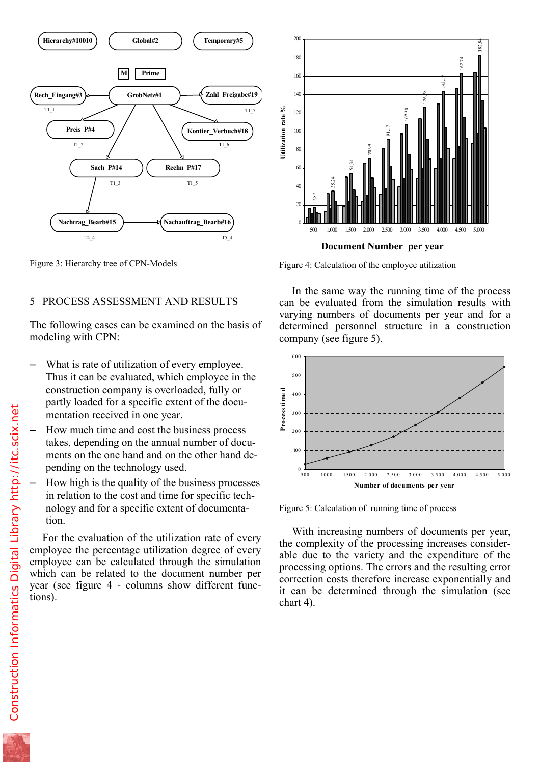

Figure 3: Hierarchy tree of CPN-Models

# 5 PROCESS ASSESSMENT AND RESULTS

The following cases can be examined on the basis of modeling with CPN:

- What is rate of utilization of every employee. Thus it can be evaluated, which employee in the construction company is overloaded, fully or partly loaded for a specific extent of the documentation received in one year.
- How much time and cost the business process takes, depending on the annual number of documents on the one hand and on the other hand depending on the technology used.
- How high is the quality of the business processes in relation to the cost and time for specific technology and for a specific extent of documentation.

For the evaluation of the utilization rate of every employee the percentage utilization degree of every employee can be calculated through the simulation which can be related to the document number per year (see figure 4 - columns show different functions).



Figure 4: Calculation of the employee utilization

In the same way the running time of the process can be evaluated from the simulation results with varying numbers of documents per year and for a determined personnel structure in a construction company (see figure 5).



Figure 5: Calculation of running time of process

With increasing numbers of documents per year, the complexity of the processing increases considerable due to the variety and the expenditure of the processing options. The errors and the resulting error correction costs therefore increase exponentially and it can be determined through the simulation (see chart 4).